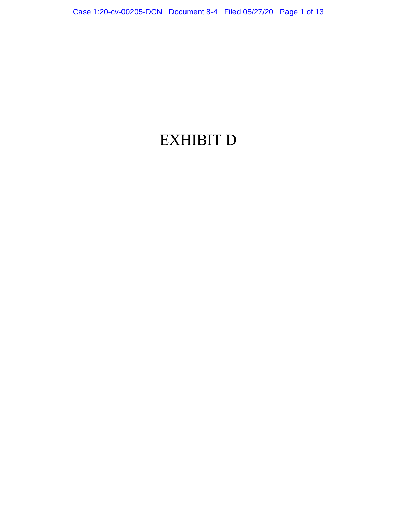## EXHIBIT D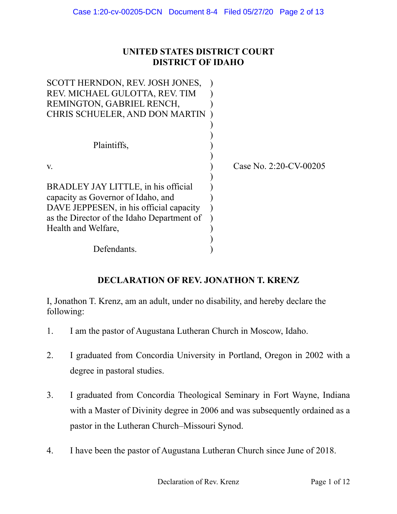## **UNITED STATES DISTRICT COURT DISTRICT OF IDAHO**

| SCOTT HERNDON, REV. JOSH JONES,            |                        |
|--------------------------------------------|------------------------|
| REV. MICHAEL GULOTTA, REV. TIM             |                        |
| REMINGTON, GABRIEL RENCH,                  |                        |
| CHRIS SCHUELER, AND DON MARTIN             |                        |
|                                            |                        |
|                                            |                        |
| Plaintiffs,                                |                        |
|                                            |                        |
| V.                                         | Case No. 2:20-CV-00205 |
|                                            |                        |
| BRADLEY JAY LITTLE, in his official        |                        |
| capacity as Governor of Idaho, and         |                        |
| DAVE JEPPESEN, in his official capacity    |                        |
| as the Director of the Idaho Department of |                        |
| Health and Welfare,                        |                        |
|                                            |                        |
| Defendants.                                |                        |

## **DECLARATION OF REV. JONATHON T. KRENZ**

I, Jonathon T. Krenz, am an adult, under no disability, and hereby declare the following:

- 1. I am the pastor of Augustana Lutheran Church in Moscow, Idaho.
- 2. I graduated from Concordia University in Portland, Oregon in 2002 with a degree in pastoral studies.
- 3. I graduated from Concordia Theological Seminary in Fort Wayne, Indiana with a Master of Divinity degree in 2006 and was subsequently ordained as a pastor in the Lutheran Church–Missouri Synod.
- 4. I have been the pastor of Augustana Lutheran Church since June of 2018.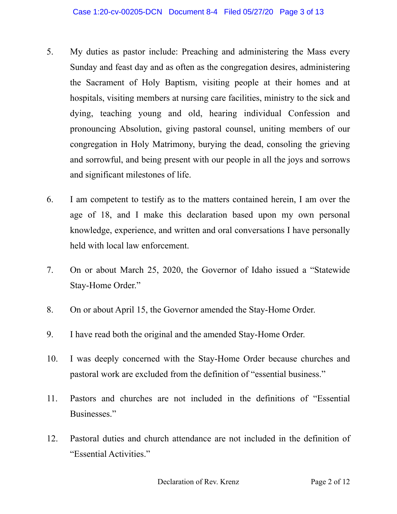- 5. My duties as pastor include: Preaching and administering the Mass every Sunday and feast day and as often as the congregation desires, administering the Sacrament of Holy Baptism, visiting people at their homes and at hospitals, visiting members at nursing care facilities, ministry to the sick and dying, teaching young and old, hearing individual Confession and pronouncing Absolution, giving pastoral counsel, uniting members of our congregation in Holy Matrimony, burying the dead, consoling the grieving and sorrowful, and being present with our people in all the joys and sorrows and significant milestones of life.
- 6. I am competent to testify as to the matters contained herein, I am over the age of 18, and I make this declaration based upon my own personal knowledge, experience, and written and oral conversations I have personally held with local law enforcement.
- 7. On or about March 25, 2020, the Governor of Idaho issued a "Statewide Stay-Home Order."
- 8. On or about April 15, the Governor amended the Stay-Home Order.
- 9. I have read both the original and the amended Stay-Home Order.
- 10. I was deeply concerned with the Stay-Home Order because churches and pastoral work are excluded from the definition of "essential business."
- 11. Pastors and churches are not included in the definitions of "Essential Businesses."
- 12. Pastoral duties and church attendance are not included in the definition of "Essential Activities."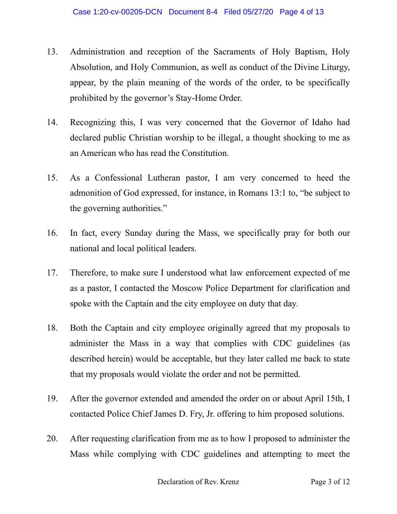- 13. Administration and reception of the Sacraments of Holy Baptism, Holy Absolution, and Holy Communion, as well as conduct of the Divine Liturgy, appear, by the plain meaning of the words of the order, to be specifically prohibited by the governor's Stay-Home Order.
- 14. Recognizing this, I was very concerned that the Governor of Idaho had declared public Christian worship to be illegal, a thought shocking to me as an American who has read the Constitution.
- 15. As a Confessional Lutheran pastor, I am very concerned to heed the admonition of God expressed, for instance, in Romans 13:1 to, "be subject to the governing authorities."
- 16. In fact, every Sunday during the Mass, we specifically pray for both our national and local political leaders.
- 17. Therefore, to make sure I understood what law enforcement expected of me as a pastor, I contacted the Moscow Police Department for clarification and spoke with the Captain and the city employee on duty that day.
- 18. Both the Captain and city employee originally agreed that my proposals to administer the Mass in a way that complies with CDC guidelines (as described herein) would be acceptable, but they later called me back to state that my proposals would violate the order and not be permitted.
- 19. After the governor extended and amended the order on or about April 15th, I contacted Police Chief James D. Fry, Jr. offering to him proposed solutions.
- 20. After requesting clarification from me as to how I proposed to administer the Mass while complying with CDC guidelines and attempting to meet the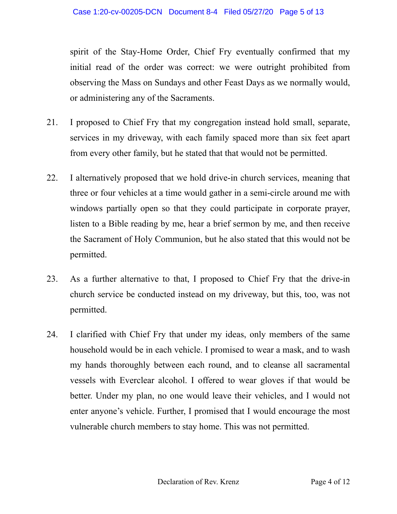spirit of the Stay-Home Order, Chief Fry eventually confirmed that my initial read of the order was correct: we were outright prohibited from observing the Mass on Sundays and other Feast Days as we normally would, or administering any of the Sacraments.

- 21. I proposed to Chief Fry that my congregation instead hold small, separate, services in my driveway, with each family spaced more than six feet apart from every other family, but he stated that that would not be permitted.
- 22. I alternatively proposed that we hold drive-in church services, meaning that three or four vehicles at a time would gather in a semi-circle around me with windows partially open so that they could participate in corporate prayer, listen to a Bible reading by me, hear a brief sermon by me, and then receive the Sacrament of Holy Communion, but he also stated that this would not be permitted.
- 23. As a further alternative to that, I proposed to Chief Fry that the drive-in church service be conducted instead on my driveway, but this, too, was not permitted.
- 24. I clarified with Chief Fry that under my ideas, only members of the same household would be in each vehicle. I promised to wear a mask, and to wash my hands thoroughly between each round, and to cleanse all sacramental vessels with Everclear alcohol. I offered to wear gloves if that would be better. Under my plan, no one would leave their vehicles, and I would not enter anyone's vehicle. Further, I promised that I would encourage the most vulnerable church members to stay home. This was not permitted.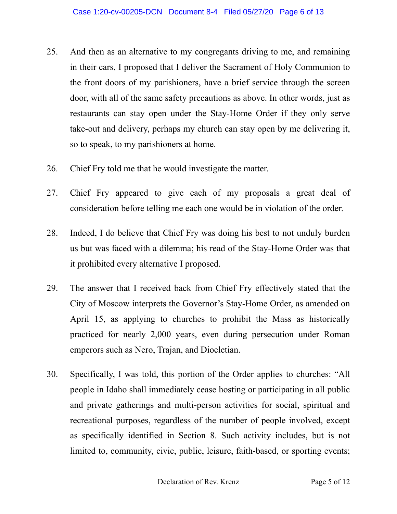- 25. And then as an alternative to my congregants driving to me, and remaining in their cars, I proposed that I deliver the Sacrament of Holy Communion to the front doors of my parishioners, have a brief service through the screen door, with all of the same safety precautions as above. In other words, just as restaurants can stay open under the Stay-Home Order if they only serve take-out and delivery, perhaps my church can stay open by me delivering it, so to speak, to my parishioners at home.
- 26. Chief Fry told me that he would investigate the matter.
- 27. Chief Fry appeared to give each of my proposals a great deal of consideration before telling me each one would be in violation of the order.
- 28. Indeed, I do believe that Chief Fry was doing his best to not unduly burden us but was faced with a dilemma; his read of the Stay-Home Order was that it prohibited every alternative I proposed.
- 29. The answer that I received back from Chief Fry effectively stated that the City of Moscow interprets the Governor's Stay-Home Order, as amended on April 15, as applying to churches to prohibit the Mass as historically practiced for nearly 2,000 years, even during persecution under Roman emperors such as Nero, Trajan, and Diocletian.
- 30. Specifically, I was told, this portion of the Order applies to churches: "All people in Idaho shall immediately cease hosting or participating in all public and private gatherings and multi-person activities for social, spiritual and recreational purposes, regardless of the number of people involved, except as specifically identified in Section 8. Such activity includes, but is not limited to, community, civic, public, leisure, faith-based, or sporting events;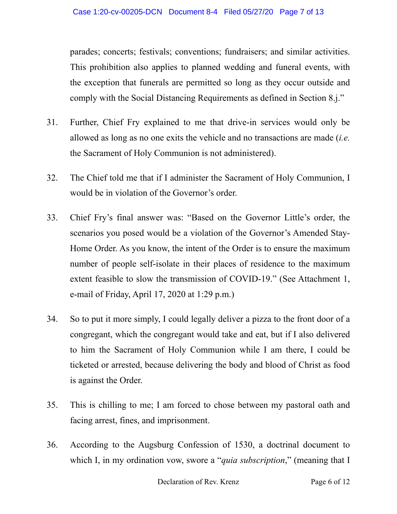parades; concerts; festivals; conventions; fundraisers; and similar activities. This prohibition also applies to planned wedding and funeral events, with the exception that funerals are permitted so long as they occur outside and comply with the Social Distancing Requirements as defined in Section 8.j."

- 31. Further, Chief Fry explained to me that drive-in services would only be allowed as long as no one exits the vehicle and no transactions are made (*i.e.* the Sacrament of Holy Communion is not administered).
- 32. The Chief told me that if I administer the Sacrament of Holy Communion, I would be in violation of the Governor's order.
- 33. Chief Fry's final answer was: "Based on the Governor Little's order, the scenarios you posed would be a violation of the Governor's Amended Stay-Home Order. As you know, the intent of the Order is to ensure the maximum number of people self-isolate in their places of residence to the maximum extent feasible to slow the transmission of COVID-19." (See Attachment 1, e-mail of Friday, April 17, 2020 at 1:29 p.m.)
- 34. So to put it more simply, I could legally deliver a pizza to the front door of a congregant, which the congregant would take and eat, but if I also delivered to him the Sacrament of Holy Communion while I am there, I could be ticketed or arrested, because delivering the body and blood of Christ as food is against the Order.
- 35. This is chilling to me; I am forced to chose between my pastoral oath and facing arrest, fines, and imprisonment.
- 36. According to the Augsburg Confession of 1530, a doctrinal document to which I, in my ordination vow, swore a "*quia subscription*," (meaning that I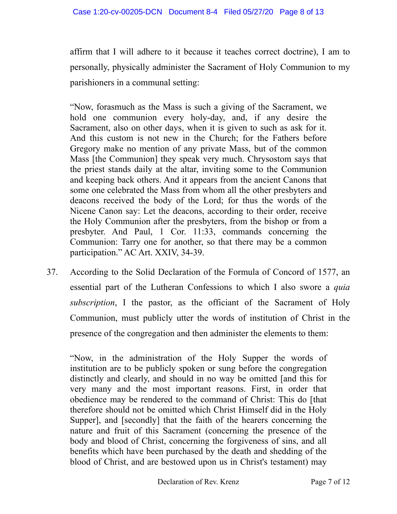affirm that I will adhere to it because it teaches correct doctrine), I am to personally, physically administer the Sacrament of Holy Communion to my parishioners in a communal setting:

"Now, forasmuch as the Mass is such a giving of the Sacrament, we hold one communion every holy-day, and, if any desire the Sacrament, also on other days, when it is given to such as ask for it. And this custom is not new in the Church; for the Fathers before Gregory make no mention of any private Mass, but of the common Mass [the Communion] they speak very much. Chrysostom says that the priest stands daily at the altar, inviting some to the Communion and keeping back others. And it appears from the ancient Canons that some one celebrated the Mass from whom all the other presbyters and deacons received the body of the Lord; for thus the words of the Nicene Canon say: Let the deacons, according to their order, receive the Holy Communion after the presbyters, from the bishop or from a presbyter. And Paul, 1 Cor. 11:33, commands concerning the Communion: Tarry one for another, so that there may be a common participation." AC Art. XXIV, 34-39.

37. According to the Solid Declaration of the Formula of Concord of 1577, an essential part of the Lutheran Confessions to which I also swore a *quia subscription*, I the pastor, as the officiant of the Sacrament of Holy Communion, must publicly utter the words of institution of Christ in the presence of the congregation and then administer the elements to them:

"Now, in the administration of the Holy Supper the words of institution are to be publicly spoken or sung before the congregation distinctly and clearly, and should in no way be omitted [and this for very many and the most important reasons. First, in order that obedience may be rendered to the command of Christ: This do [that therefore should not be omitted which Christ Himself did in the Holy Supper], and [secondly] that the faith of the hearers concerning the nature and fruit of this Sacrament (concerning the presence of the body and blood of Christ, concerning the forgiveness of sins, and all benefits which have been purchased by the death and shedding of the blood of Christ, and are bestowed upon us in Christ's testament) may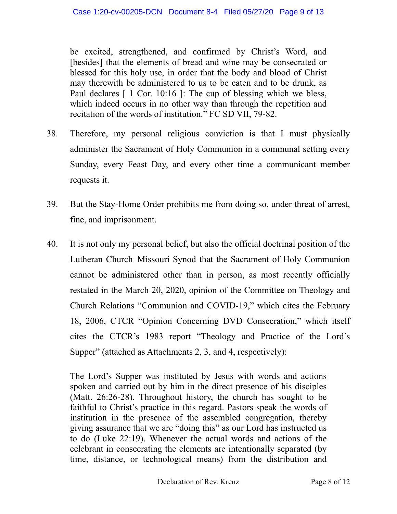be excited, strengthened, and confirmed by Christ's Word, and [besides] that the elements of bread and wine may be consecrated or blessed for this holy use, in order that the body and blood of Christ may therewith be administered to us to be eaten and to be drunk, as Paul declares [ 1 Cor. 10:16 ]: The cup of blessing which we bless, which indeed occurs in no other way than through the repetition and recitation of the words of institution." FC SD VII, 79-82.

- 38. Therefore, my personal religious conviction is that I must physically administer the Sacrament of Holy Communion in a communal setting every Sunday, every Feast Day, and every other time a communicant member requests it.
- 39. But the Stay-Home Order prohibits me from doing so, under threat of arrest, fine, and imprisonment.
- 40. It is not only my personal belief, but also the official doctrinal position of the Lutheran Church–Missouri Synod that the Sacrament of Holy Communion cannot be administered other than in person, as most recently officially restated in the March 20, 2020, opinion of the Committee on Theology and Church Relations "Communion and COVID-19," which cites the February 18, 2006, CTCR "Opinion Concerning DVD Consecration," which itself cites the CTCR's 1983 report "Theology and Practice of the Lord's Supper" (attached as Attachments 2, 3, and 4, respectively):

The Lord's Supper was instituted by Jesus with words and actions spoken and carried out by him in the direct presence of his disciples (Matt. 26:26-28). Throughout history, the church has sought to be faithful to Christ's practice in this regard. Pastors speak the words of institution in the presence of the assembled congregation, thereby giving assurance that we are "doing this" as our Lord has instructed us to do (Luke 22:19). Whenever the actual words and actions of the celebrant in consecrating the elements are intentionally separated (by time, distance, or technological means) from the distribution and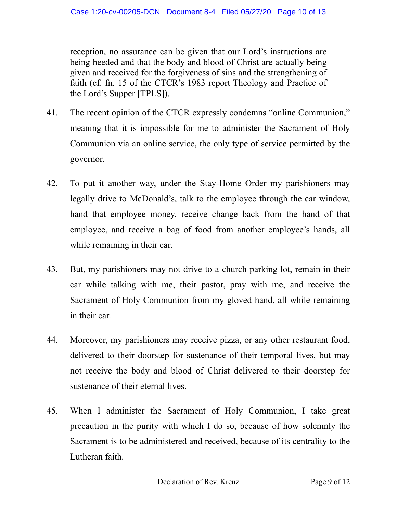reception, no assurance can be given that our Lord's instructions are being heeded and that the body and blood of Christ are actually being given and received for the forgiveness of sins and the strengthening of faith (cf. fn. 15 of the CTCR's 1983 report Theology and Practice of the Lord's Supper [TPLS]).

- 41. The recent opinion of the CTCR expressly condemns "online Communion," meaning that it is impossible for me to administer the Sacrament of Holy Communion via an online service, the only type of service permitted by the governor.
- 42. To put it another way, under the Stay-Home Order my parishioners may legally drive to McDonald's, talk to the employee through the car window, hand that employee money, receive change back from the hand of that employee, and receive a bag of food from another employee's hands, all while remaining in their car.
- 43. But, my parishioners may not drive to a church parking lot, remain in their car while talking with me, their pastor, pray with me, and receive the Sacrament of Holy Communion from my gloved hand, all while remaining in their car.
- 44. Moreover, my parishioners may receive pizza, or any other restaurant food, delivered to their doorstep for sustenance of their temporal lives, but may not receive the body and blood of Christ delivered to their doorstep for sustenance of their eternal lives.
- 45. When I administer the Sacrament of Holy Communion, I take great precaution in the purity with which I do so, because of how solemnly the Sacrament is to be administered and received, because of its centrality to the Lutheran faith.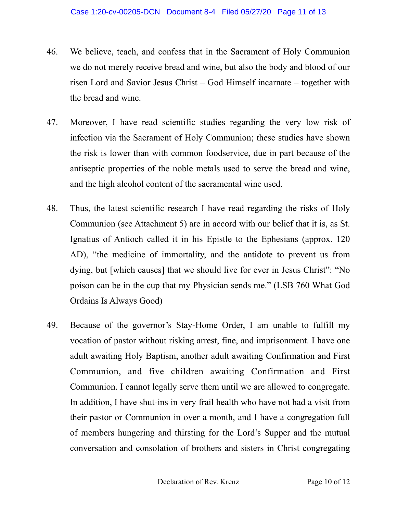- 46. We believe, teach, and confess that in the Sacrament of Holy Communion we do not merely receive bread and wine, but also the body and blood of our risen Lord and Savior Jesus Christ – God Himself incarnate – together with the bread and wine.
- 47. Moreover, I have read scientific studies regarding the very low risk of infection via the Sacrament of Holy Communion; these studies have shown the risk is lower than with common foodservice, due in part because of the antiseptic properties of the noble metals used to serve the bread and wine, and the high alcohol content of the sacramental wine used.
- 48. Thus, the latest scientific research I have read regarding the risks of Holy Communion (see Attachment 5) are in accord with our belief that it is, as St. Ignatius of Antioch called it in his Epistle to the Ephesians (approx. 120 AD), "the medicine of immortality, and the antidote to prevent us from dying, but [which causes] that we should live for ever in Jesus Christ": "No poison can be in the cup that my Physician sends me." (LSB 760 What God Ordains Is Always Good)
- 49. Because of the governor's Stay-Home Order, I am unable to fulfill my vocation of pastor without risking arrest, fine, and imprisonment. I have one adult awaiting Holy Baptism, another adult awaiting Confirmation and First Communion, and five children awaiting Confirmation and First Communion. I cannot legally serve them until we are allowed to congregate. In addition, I have shut-ins in very frail health who have not had a visit from their pastor or Communion in over a month, and I have a congregation full of members hungering and thirsting for the Lord's Supper and the mutual conversation and consolation of brothers and sisters in Christ congregating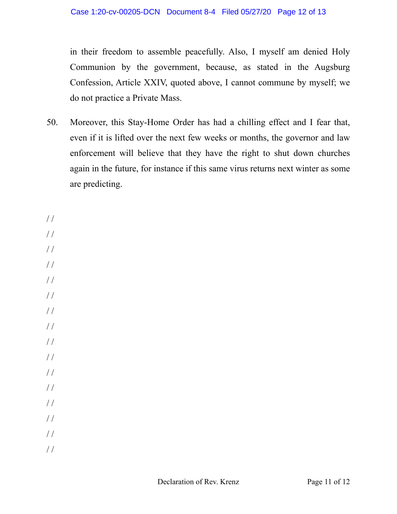in their freedom to assemble peacefully. Also, I myself am denied Holy Communion by the government, because, as stated in the Augsburg Confession, Article XXIV, quoted above, I cannot commune by myself; we do not practice a Private Mass.

50. Moreover, this Stay-Home Order has had a chilling effect and I fear that, even if it is lifted over the next few weeks or months, the governor and law enforcement will believe that they have the right to shut down churches again in the future, for instance if this same virus returns next winter as some are predicting.

/ /  $/$ / / / /  $/$  /

/ /

- $/$
- / /
- / /
- / /
- $//$
- $/$  /
- / /
- / /
- / /
- / /